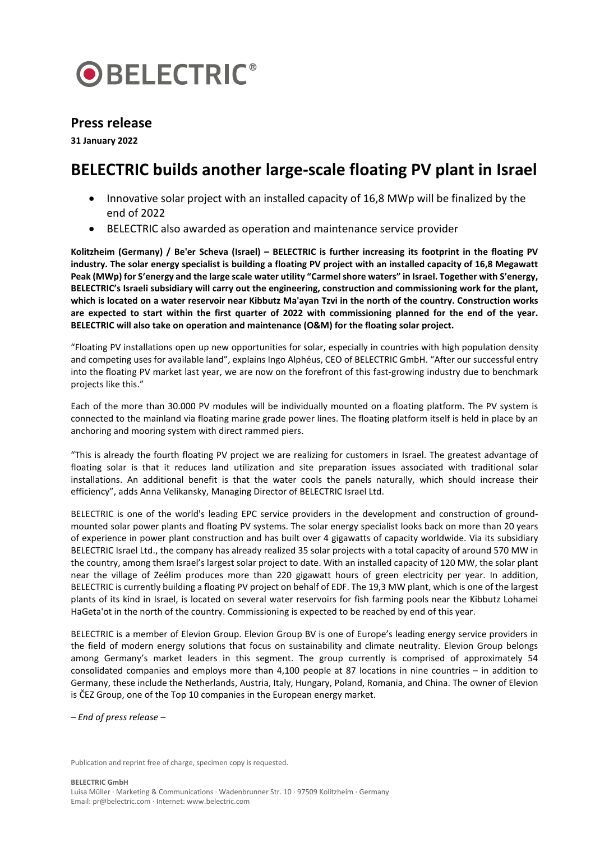

## **Press release**

**31 January 2022**

## **BELECTRIC builds another large-scale floating PV plant in Israel**

- Innovative solar project with an installed capacity of 16,8 MWp will be finalized by the end of 2022
- BELECTRIC also awarded as operation and maintenance service provider

**Kolitzheim (Germany) / Be'er Scheva (Israel) – BELECTRIC is further increasing its footprint in the floating PV industry. The solar energy specialist is building a floating PV project with an installed capacity of 16,8 Megawatt Peak (MWp) for S'energy and the large scale water utility "Carmel shore waters" in Israel. Together with S'energy, BELECTRIC's Israeli subsidiary will carry out the engineering, construction and commissioning work for the plant, which is located on a water reservoir near Kibbutz Ma'ayan Tzvi in the north of the country. Construction works are expected to start within the first quarter of 2022 with commissioning planned for the end of the year. BELECTRIC will also take on operation and maintenance (O&M) for the floating solar project.**

"Floating PV installations open up new opportunities for solar, especially in countries with high population density and competing uses for available land", explains Ingo Alphéus, CEO of BELECTRIC GmbH. "After our successful entry into the floating PV market last year, we are now on the forefront of this fast-growing industry due to benchmark projects like this."

Each of the more than 30.000 PV modules will be individually mounted on a floating platform. The PV system is connected to the mainland via floating marine grade power lines. The floating platform itself is held in place by an anchoring and mooring system with direct rammed piers.

"This is already the fourth floating PV project we are realizing for customers in Israel. The greatest advantage of floating solar is that it reduces land utilization and site preparation issues associated with traditional solar installations. An additional benefit is that the water cools the panels naturally, which should increase their efficiency", adds Anna Velikansky, Managing Director of BELECTRIC Israel Ltd.

BELECTRIC is one of the world's leading EPC service providers in the development and construction of groundmounted solar power plants and floating PV systems. The solar energy specialist looks back on more than 20 years of experience in power plant construction and has built over 4 gigawatts of capacity worldwide. Via its subsidiary BELECTRIC Israel Ltd., the company has already realized 35 solar projects with a total capacity of around 570 MW in the country, among them Israel's largest solar project to date. With an installed capacity of 120 MW, the solar plant near the village of Zeélim produces more than 220 gigawatt hours of green electricity per year. In addition, BELECTRIC is currently building a floating PV project on behalf of EDF. The 19,3 MW plant, which is one of the largest plants of its kind in Israel, is located on several water reservoirs for fish farming pools near the Kibbutz Lohamei HaGeta'ot in the north of the country. Commissioning is expected to be reached by end of this year.

BELECTRIC is a member of Elevion Group. Elevion Group BV is one of Europe's leading energy service providers in the field of modern energy solutions that focus on sustainability and climate neutrality. Elevion Group belongs among Germany's market leaders in this segment. The group currently is comprised of approximately 54 consolidated companies and employs more than 4,100 people at 87 locations in nine countries – in addition to Germany, these include the Netherlands, Austria, Italy, Hungary, Poland, Romania, and China. The owner of Elevion is ČEZ Group, one of the Top 10 companies in the European energy market.

*– End of press release –*

Publication and reprint free of charge, specimen copy is requested.